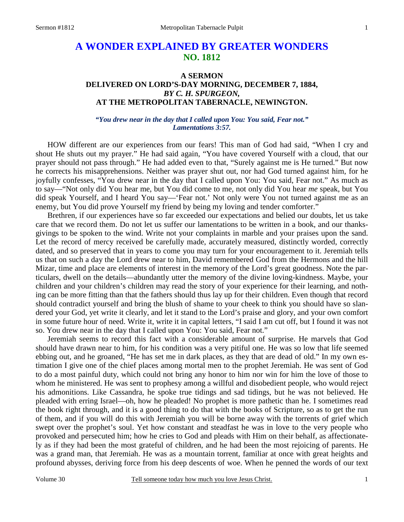# **A WONDER EXPLAINED BY GREATER WONDERS NO. 1812**

## **A SERMON DELIVERED ON LORD'S-DAY MORNING, DECEMBER 7, 1884,**  *BY C. H. SPURGEON,*  **AT THE METROPOLITAN TABERNACLE, NEWINGTON.**

#### *"You drew near in the day that I called upon You: You said, Fear not." Lamentations 3:57.*

HOW different are our experiences from our fears! This man of God had said, "When I cry and shout He shuts out my prayer." He had said again, "You have covered Yourself with a cloud, that our prayer should not pass through." He had added even to that, "Surely against me is He turned." But now he corrects his misapprehensions. Neither was prayer shut out, nor had God turned against him, for he joyfully confesses, "You drew near in the day that I called upon You: You said, Fear not." As much as to say—"Not only did You hear me, but You did come to me, not only did You hear *me* speak, but You did speak Yourself, and I heard You say—'Fear not.' Not only were You not turned against me as an enemy, but You did prove Yourself my friend by being my loving and tender comforter."

 Brethren, if our experiences have so far exceeded our expectations and belied our doubts, let us take care that we record them. Do not let us suffer our lamentations to be written in a book, and our thanksgivings to be spoken to the wind. Write not your complaints in marble and your praises upon the sand. Let the record of mercy received be carefully made, accurately measured, distinctly worded, correctly dated, and so preserved that in years to come you may turn for your encouragement to it. Jeremiah tells us that on such a day the Lord drew near to him, David remembered God from the Hermons and the hill Mizar, time and place are elements of interest in the memory of the Lord's great goodness. Note the particulars, dwell on the details—abundantly utter the memory of the divine loving-kindness. Maybe, your children and your children's children may read the story of your experience for their learning, and nothing can be more fitting than that the fathers should thus lay up for their children. Even though that record should contradict yourself and bring the blush of shame to your cheek to think you should have so slandered your God, yet write it clearly, and let it stand to the Lord's praise and glory, and your own comfort in some future hour of need. Write it, write it in capital letters, "I said I am cut off, but I found it was not so. You drew near in the day that I called upon You: You said, Fear not."

 Jeremiah seems to record this fact with a considerable amount of surprise. He marvels that God should have drawn near to him, for his condition was a very pitiful one. He was so low that life seemed ebbing out, and he groaned, "He has set me in dark places, as they that are dead of old." In my own estimation I give one of the chief places among mortal men to the prophet Jeremiah. He was sent of God to do a most painful duty, which could not bring any honor to him nor win for him the love of those to whom he ministered. He was sent to prophesy among a willful and disobedient people, who would reject his admonitions. Like Cassandra, he spoke true tidings and sad tidings, but he was not believed. He pleaded with erring Israel—oh, how he pleaded! No prophet is more pathetic than he. I sometimes read the book right through, and it is a good thing to do that with the books of Scripture, so as to get the run of them, and if you will do this with Jeremiah you will be borne away with the torrents of grief which swept over the prophet's soul. Yet how constant and steadfast he was in love to the very people who provoked and persecuted him; how he cries to God and pleads with Him on their behalf, as affectionately as if they had been the most grateful of children, and he had been the most rejoicing of parents. He was a grand man, that Jeremiah. He was as a mountain torrent, familiar at once with great heights and profound abysses, deriving force from his deep descents of woe. When he penned the words of our text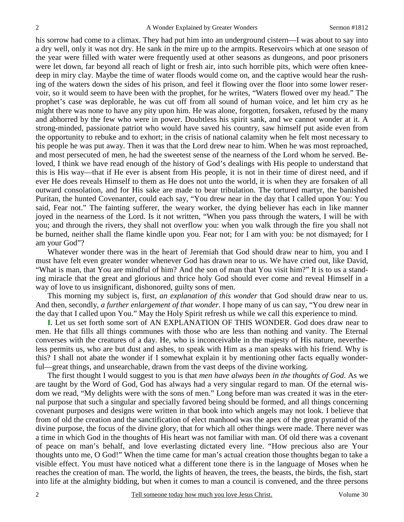his sorrow had come to a climax. They had put him into an underground cistern—I was about to say into a dry well, only it was not dry. He sank in the mire up to the armpits. Reservoirs which at one season of the year were filled with water were frequently used at other seasons as dungeons, and poor prisoners were let down, far beyond all reach of light or fresh air, into such horrible pits, which were often kneedeep in miry clay. Maybe the time of water floods would come on, and the captive would hear the rushing of the waters down the sides of his prison, and feel it flowing over the floor into some lower reservoir, so it would seem to have been with the prophet, for he writes, "Waters flowed over my head." The prophet's case was deplorable, he was cut off from all sound of human voice, and let him cry as he might there was none to have any pity upon him. He was alone, forgotten, forsaken, refused by the many and abhorred by the few who were in power. Doubtless his spirit sank, and we cannot wonder at it. A strong-minded, passionate patriot who would have saved his country, saw himself put aside even from the opportunity to rebuke and to exhort; in the crisis of national calamity when he felt most necessary to his people he was put away. Then it was that the Lord drew near to him. When he was most reproached, and most persecuted of men, he had the sweetest sense of the nearness of the Lord whom he served. Beloved, I think we have read enough of the history of God's dealings with His people to understand that this is His way—that if He ever is absent from His people, it is not in their time of direst need, and if ever He does reveals Himself to them as He does not unto the world, it is when they are forsaken of all outward consolation, and for His sake are made to bear tribulation. The tortured martyr, the banished Puritan, the hunted Covenanter, could each say, "You drew near in the day that I called upon You: You said, Fear not." The fainting sufferer, the weary worker, the dying believer has each in like manner joyed in the nearness of the Lord. Is it not written, "When you pass through the waters, I will be with you; and through the rivers, they shall not overflow you: when you walk through the fire you shall not be burned, neither shall the flame kindle upon you. Fear not; for I am with you: be not dismayed; for I am your God"?

 Whatever wonder there was in the heart of Jeremiah that God should draw near to him, you and I must have felt even greater wonder whenever God has drawn near to us. We have cried out, like David, "What is man, that You are mindful of him? And the son of man that You visit him?" It is to us a standing miracle that the great and glorious and thrice holy God should ever come and reveal Himself in a way of love to us insignificant, dishonored, guilty sons of men.

 This morning my subject is, first, *an explanation of this wonder* that God should draw near to us. And then, secondly, *a further enlargement of that wonder*. I hope many of us can say, "You drew near in the day that I called upon You." May the Holy Spirit refresh us while we call this experience to mind.

**I.** Let us set forth some sort of AN EXPLANATION OF THIS WONDER. God does draw near to men. He that fills all things communes with those who are less than nothing and vanity. The Eternal converses with the creatures of a day. He, who is inconceivable in the majesty of His nature, nevertheless permits us, who are but dust and ashes, to speak with Him as a man speaks with his friend. Why is this? I shall not abate the wonder if I somewhat explain it by mentioning other facts equally wonderful—great things, and unsearchable, drawn from the vast deeps of the divine working.

 The first thought I would suggest to you is that *men have always been in the thoughts of God*. As we are taught by the Word of God, God has always had a very singular regard to man. Of the eternal wisdom we read, "My delights were with the sons of men." Long before man was created it was in the eternal purpose that such a singular and specially favored being should be formed, and all things concerning covenant purposes and designs were written in that book into which angels may not look. I believe that from of old the creation and the sanctification of elect manhood was the apex of the great pyramid of the divine purpose, the focus of the divine glory, that for which all other things were made. There never was a time in which God in the thoughts of His heart was not familiar with man. Of old there was a covenant of peace on man's behalf, and love everlasting dictated every line. "How precious also are Your thoughts unto me, O God!" When the time came for man's actual creation those thoughts began to take a visible effect. You must have noticed what a different tone there is in the language of Moses when he reaches the creation of man. The world, the lights of heaven, the trees, the beasts, the birds, the fish, start into life at the almighty bidding, but when it comes to man a council is convened, and the three persons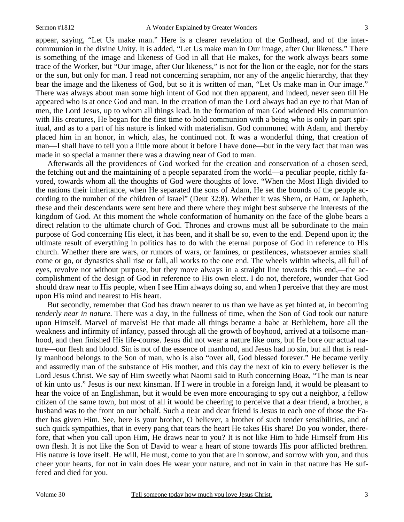appear, saying, "Let Us make man." Here is a clearer revelation of the Godhead, and of the intercommunion in the divine Unity. It is added, "Let Us make man in Our image, after Our likeness." There is something of the image and likeness of God in all that He makes, for the work always bears some trace of the Worker, but "Our image, after Our likeness," is not for the lion or the eagle, nor for the stars or the sun, but only for man. I read not concerning seraphim, nor any of the angelic hierarchy, that they bear the image and the likeness of God, but so it is written of man, "Let Us make man in Our image." There was always about man some high intent of God not then apparent, and indeed, never seen till He appeared who is at once God and man. In the creation of man the Lord always had an eye to that Man of men, the Lord Jesus, up to whom all things lead. In the formation of man God widened His communion with His creatures, He began for the first time to hold communion with a being who is only in part spiritual, and as to a part of his nature is linked with materialism. God communed with Adam, and thereby placed him in an honor, in which, alas, he continued not. It was a wonderful thing, that creation of man—I shall have to tell you a little more about it before I have done—but in the very fact that man was made in so special a manner there was a drawing near of God to man.

 Afterwards all the providences of God worked for the creation and conservation of a chosen seed, the fetching out and the maintaining of a people separated from the world—a peculiar people, richly favored, towards whom all the thoughts of God were thoughts of love. "When the Most High divided to the nations their inheritance, when He separated the sons of Adam, He set the bounds of the people according to the number of the children of Israel" (Deut 32:8). Whether it was Shem, or Ham, or Japheth, these and their descendants were sent here and there where they might best subserve the interests of the kingdom of God. At this moment the whole conformation of humanity on the face of the globe bears a direct relation to the ultimate church of God. Thrones and crowns must all be subordinate to the main purpose of God concerning His elect, it has been, and it shall be so, even to the end. Depend upon it; the ultimate result of everything in politics has to do with the eternal purpose of God in reference to His church. Whether there are wars, or rumors of wars, or famines, or pestilences, whatsoever armies shall come or go, or dynasties shall rise or fall, all works to the one end. The wheels within wheels, all full of eyes, revolve not without purpose, but they move always in a straight line towards this end,—the accomplishment of the design of God in reference to His own elect. I do not, therefore, wonder that God should draw near to His people, when I see Him always doing so, and when I perceive that they are most upon His mind and nearest to His heart.

 But secondly, remember that God has drawn nearer to us than we have as yet hinted at, in becoming *tenderly near in nature*. There was a day, in the fullness of time, when the Son of God took our nature upon Himself. Marvel of marvels! He that made all things became a babe at Bethlehem, bore all the weakness and infirmity of infancy, passed through all the growth of boyhood, arrived at a toilsome manhood, and then finished His life-course. Jesus did not wear a nature like ours, but He bore our actual nature—our flesh and blood. Sin is not of the essence of manhood, and Jesus had no sin, but all that is really manhood belongs to the Son of man, who is also "over all, God blessed forever." He became verily and assuredly man of the substance of His mother, and this day the next of kin to every believer is the Lord Jesus Christ. We say of Him sweetly what Naomi said to Ruth concerning Boaz, "The man is near of kin unto us." Jesus is our next kinsman. If I were in trouble in a foreign land, it would be pleasant to hear the voice of an Englishman, but it would be even more encouraging to spy out a neighbor, a fellow citizen of the same town, but most of all it would be cheering to perceive that a dear friend, a brother, a husband was to the front on our behalf. Such a near and dear friend is Jesus to each one of those the Father has given Him. See, here is your brother, O believer, a brother of such tender sensibilities, and of such quick sympathies, that in every pang that tears the heart He takes His share! Do you wonder, therefore, that when you call upon Him, He draws near to you? It is not like Him to hide Himself from His own flesh. It is not like the Son of David to wear a heart of stone towards His poor afflicted brethren. His nature is love itself. He will, He must, come to you that are in sorrow, and sorrow with you, and thus cheer your hearts, for not in vain does He wear your nature, and not in vain in that nature has He suffered and died for you.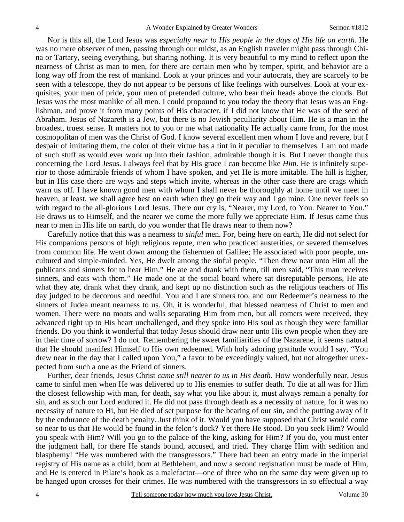Nor is this all, the Lord Jesus was *especially near to His people in the days of His life on earth*. He was no mere observer of men, passing through our midst, as an English traveler might pass through China or Tartary, seeing everything, but sharing nothing. It is very beautiful to my mind to reflect upon the nearness of Christ as man to men, for there are certain men who by temper, spirit, and behavior are a long way off from the rest of mankind. Look at your princes and your autocrats, they are scarcely to be seen with a telescope, they do not appear to be persons of like feelings with ourselves. Look at your exquisites, your men of pride, your men of pretended culture, who bear their heads above the clouds. But Jesus was the most manlike of all men. I could propound to you today the theory that Jesus was an Englishman, and prove it from many points of His character, if I did not know that He was of the seed of Abraham. Jesus of Nazareth is a Jew, but there is no Jewish peculiarity about Him. He is a man in the broadest, truest sense. It matters not to you or me what nationality He actually came from, for the most cosmopolitan of men was the Christ of God. I know several excellent men whom I love and revere, but I despair of imitating them, the color of their virtue has a tint in it peculiar to themselves. I am not made of such stuff as would ever work up into their fashion, admirable though it is. But I never thought thus concerning the Lord Jesus. I always feel that by His grace I can become like *Him*. He is infinitely superior to those admirable friends of whom I have spoken, and yet He is more imitable. The hill is higher, but in His case there are ways and steps which invite, whereas in the other case there are crags which warn us off. I have known good men with whom I shall never be thoroughly at home until we meet in heaven, at least, we shall agree best on earth when they go their way and I go mine. One never feels so with regard to the all-glorious Lord Jesus. There our cry is, "Nearer, my Lord, to You. Nearer to You." He draws us to Himself, and the nearer we come the more fully we appreciate Him. If Jesus came thus near to men in His life on earth, do you wonder that He draws near to them now?

 Carefully notice that this was a nearness to *sinful* men. For, being here on earth, He did not select for His companions persons of high religious repute, men who practiced austerities, or severed themselves from common life. He went down among the fishermen of Galilee; He associated with poor people, uncultured and simple-minded. Yes, He dwelt among the sinful people, "Then drew near unto Him all the publicans and sinners for to hear Him." He ate and drank with them, till men said, "This man receives sinners, and eats with them." He made one at the social board where sat disreputable persons, He ate what they ate, drank what they drank, and kept up no distinction such as the religious teachers of His day judged to be decorous and needful. You and I are sinners too, and our Redeemer's nearness to the sinners of Judea meant nearness to us. Oh, it is wonderful, that blessed nearness of Christ to men and women. There were no moats and walls separating Him from men, but all comers were received, they advanced right up to His heart unchallenged, and they spoke into His soul as though they were familiar friends. Do you think it wonderful that today Jesus should draw near unto His own people when they are in their time of sorrow? I do not. Remembering the sweet familiarities of the Nazarene, it seems natural that He should manifest Himself to His own redeemed. With holy adoring gratitude would I say, "You drew near in the day that I called upon You," a favor to be exceedingly valued, but not altogether unexpected from such a one as the Friend of sinners.

 Further, dear friends, Jesus Christ *came still nearer to us in His death*. How wonderfully near, Jesus came to sinful men when He was delivered up to His enemies to suffer death. To die at all was for Him the closest fellowship with man, for death, say what you like about it, must always remain a penalty for sin, and as such our Lord endured it. He did not pass through death as a necessity of nature, for it was no necessity of nature to Hi, but He died of set purpose for the bearing of our sin, and the putting away of it by the endurance of the death penalty. Just think of it. Would you have supposed that Christ would come so near to us that He would be found in the felon's dock? Yet there He stood. Do you seek Him? Would you speak with Him? Will you go to the palace of the king, asking for Him? If you do, you must enter the judgment hall, for there He stands bound, accused, and tried. They charge Him with sedition and blasphemy! "He was numbered with the transgressors." There had been an entry made in the imperial registry of His name as a child, born at Bethlehem, and now a second registration must be made of Him, and He is entered in Pilate's book as a malefactor—one of three who on the same day were given up to be hanged upon crosses for their crimes. He was numbered with the transgressors in so effectual a way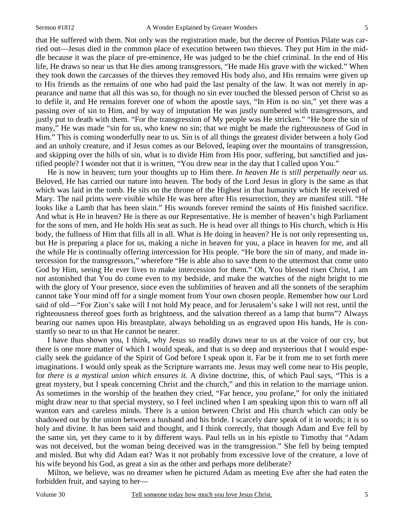that He suffered with them. Not only was the registration made, but the decree of Pontius Pilate was carried out—Jesus died in the common place of execution between two thieves. They put Him in the middle because it was the place of pre-eminence, He was judged to be the chief criminal. In the end of His life, He draws so near us that He dies among transgressors, "He made His grave with the wicked." When they took down the carcasses of the thieves they removed His body also, and His remains were given up to His friends as the remains of one who had paid the last penalty of the law. It was not merely in appearance and name that all this was so, for though no sin ever touched the blessed person of Christ so as to defile it, and He remains forever one of whom the apostle says, "In Him is no sin," yet there was a passing over of sin to Him, and by way of imputation He was justly numbered with transgressors, and justly put to death with them. "For the transgression of My people was He stricken." "He bore the sin of many," He was made "sin for us, who knew no sin; that we might be made the righteousness of God in Him." This is coming wonderfully near to us. Sin is of all things the greatest divider between a holy God and an unholy creature, and if Jesus comes as our Beloved, leaping over the mountains of transgression, and skipping over the hills of sin, what is to divide Him from His poor, suffering, but sanctified and justified people? I wonder not that it is written, "You drew near in the day that I called upon You."

 He is now in heaven; turn your thoughts up to Him there. *In heaven He is still perpetually near us*. Beloved, He has carried our nature into heaven. The body of the Lord Jesus in glory is the same as that which was laid in the tomb. He sits on the throne of the Highest in that humanity which He received of Mary. The nail prints were visible while He was here after His resurrection, they are manifest still. "He looks like a Lamb that has been slain." His wounds forever remind the saints of His finished sacrifice. And what is He in heaven? He is there as our Representative. He is member of heaven's high Parliament for the sons of men, and He holds His seat as such. He is head over all things to His church, which is His body, the fullness of Him that fills all in all. What is He doing in heaven? He is not only representing us, but He is preparing a place for us, making a niche in heaven for you, a place in heaven for me, and all the while He is continually offering intercession for His people. "He bore the sin of many, and made intercession for the transgressors," wherefore "He is able also to save them to the uttermost that come unto God by Him, seeing He ever lives to make intercession for them." Oh, You blessed risen Christ, I am not astonished that You do come even to my bedside, and make the watches of the night bright to me with the glory of Your presence, since even the sublimities of heaven and all the sonnets of the seraphim cannot take Your mind off for a single moment from Your own chosen people. Remember how our Lord said of old—"For Zion's sake will I not hold My peace, and for Jerusalem's sake I will not rest, until the righteousness thereof goes forth as brightness, and the salvation thereof as a lamp that burns"? Always bearing our names upon His breastplate, always beholding us as engraved upon His hands, He is constantly so near to us that He cannot be nearer.

 I have thus shown you, I think, why Jesus so readily draws near to us at the voice of our cry, but there is one more matter of which I would speak, and that is so deep and mysterious that I would especially seek the guidance of the Spirit of God before I speak upon it. Far be it from me to set forth mere imaginations. I would only speak as the Scripture warrants me. Jesus may well come near to His people, for *there is a mystical union which ensures it*. A divine doctrine, this, of which Paul says, "This is a great mystery, but I speak concerning Christ and the church," and this in relation to the marriage union. As sometimes in the worship of the heathen they cried, "Far hence, you profane," for only the initiated might draw near to that special mystery, so I feel inclined when I am speaking upon this to warn off all wanton ears and careless minds. There is a union between Christ and His church which can only be shadowed out by the union between a husband and his bride. I scarcely dare speak of it in words; it is so holy and divine. It has been said and thought, and I think correctly, that though Adam and Eve fell by the same sin, yet they came to it by different ways. Paul tells us in his epistle to Timothy that "Adam was not deceived, but the woman being deceived was in the transgression." She fell by being tempted and misled. But why did Adam eat? Was it not probably from excessive love of the creature, a love of his wife beyond his God, as great a sin as the other and perhaps more deliberate?

 Milton, we believe, was no dreamer when he pictured Adam as meeting Eve after she had eaten the forbidden fruit, and saying to her—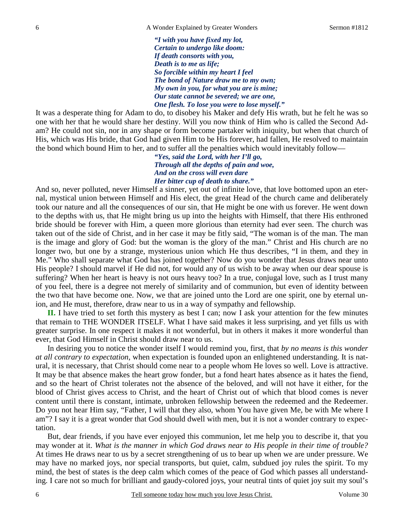*"I with you have fixed my lot, Certain to undergo like doom: If death consorts with you, Death is to me as life; So forcible within my heart I feel The bond of Nature draw me to my own; My own in you, for what you are is mine; Our state cannot be severed; we are one, One flesh. To lose you were to lose myself."* 

It was a desperate thing for Adam to do, to disobey his Maker and defy His wrath, but he felt he was so one with her that he would share her destiny. Will you now think of Him who is called the Second Adam? He could not sin, nor in any shape or form become partaker with iniquity, but when that church of His, which was His bride, that God had given Him to be His forever, had fallen, He resolved to maintain the bond which bound Him to her, and to suffer all the penalties which would inevitably follow—

> *"Yes, said the Lord, with her I'll go, Through all the depths of pain and woe, And on the cross will even dare Her bitter cup of death to share."*

And so, never polluted, never Himself a sinner, yet out of infinite love, that love bottomed upon an eternal, mystical union between Himself and His elect, the great Head of the church came and deliberately took our nature and all the consequences of our sin, that He might be one with us forever. He went down to the depths with us, that He might bring us up into the heights with Himself, that there His enthroned bride should be forever with Him, a queen more glorious than eternity had ever seen. The church was taken out of the side of Christ, and in her case it may be fitly said, "The woman is of the man. The man is the image and glory of God: but the woman is the glory of the man." Christ and His church are no longer two, but one by a strange, mysterious union which He thus describes, "I in them, and they in Me." Who shall separate what God has joined together? Now do you wonder that Jesus draws near unto His people? I should marvel if He did not, for would any of us wish to be away when our dear spouse is suffering? When her heart is heavy is not ours heavy too? In a true, conjugal love, such as I trust many of you feel, there is a degree not merely of similarity and of communion, but even of identity between the two that have become one. Now, we that are joined unto the Lord are one spirit, one by eternal union, and He must, therefore, draw near to us in a way of sympathy and fellowship.

**II.** I have tried to set forth this mystery as best I can; now I ask your attention for the few minutes that remain to THE WONDER ITSELF. What I have said makes it less surprising, and yet fills us with greater surprise. In one respect it makes it not wonderful, but in others it makes it more wonderful than ever, that God Himself in Christ should draw near to us.

 In desiring you to notice the wonder itself I would remind you, first, that *by no means is this wonder at all contrary to expectation,* when expectation is founded upon an enlightened understanding. It is natural, it is necessary, that Christ should come near to a people whom He loves so well. Love is attractive. It may be that absence makes the heart grow fonder, but a fond heart hates absence as it hates the fiend, and so the heart of Christ tolerates not the absence of the beloved, and will not have it either, for the blood of Christ gives access to Christ, and the heart of Christ out of which that blood comes is never content until there is constant, intimate, unbroken fellowship between the redeemed and the Redeemer. Do you not hear Him say, "Father, I will that they also, whom You have given Me, be with Me where I am"? I say it is a great wonder that God should dwell with men, but it is not a wonder contrary to expectation.

 But, dear friends, if you have ever enjoyed this communion, let me help you to describe it, that you may wonder at it. *What is the manner in which God draws near to His people in their time of trouble?*  At times He draws near to us by a secret strengthening of us to bear up when we are under pressure. We may have no marked joys, nor special transports, but quiet, calm, subdued joy rules the spirit. To my mind, the best of states is the deep calm which comes of the peace of God which passes all understanding. I care not so much for brilliant and gaudy-colored joys, your neutral tints of quiet joy suit my soul's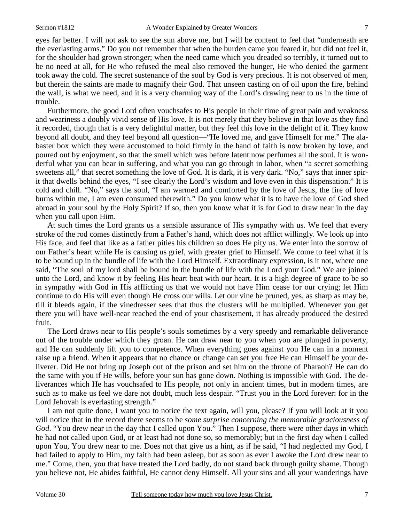eyes far better. I will not ask to see the sun above me, but I will be content to feel that "underneath are the everlasting arms." Do you not remember that when the burden came you feared it, but did not feel it, for the shoulder had grown stronger; when the need came which you dreaded so terribly, it turned out to be no need at all, for He who refused the meal also removed the hunger, He who denied the garment took away the cold. The secret sustenance of the soul by God is very precious. It is not observed of men, but therein the saints are made to magnify their God. That unseen casting on of oil upon the fire, behind the wall, is what we need, and it is a very charming way of the Lord's drawing near to us in the time of trouble.

 Furthermore, the good Lord often vouchsafes to His people in their time of great pain and weakness and weariness a doubly vivid sense of His love. It is not merely that they believe in that love as they find it recorded, though that is a very delightful matter, but they feel this love in the delight of it. They know beyond all doubt, and they feel beyond all question—"He loved me, and gave Himself for me." The alabaster box which they were accustomed to hold firmly in the hand of faith is now broken by love, and poured out by enjoyment, so that the smell which was before latent now perfumes all the soul. It is wonderful what you can bear in suffering, and what you can go through in labor, when "a secret something sweetens all," that secret something the love of God. It is dark, it is very dark. "No," says that inner spirit that dwells behind the eyes, "I see clearly the Lord's wisdom and love even in this dispensation." It is cold and chill. "No," says the soul, "I am warmed and comforted by the love of Jesus, the fire of love burns within me, I am even consumed therewith." Do you know what it is to have the love of God shed abroad in your soul by the Holy Spirit? If so, then you know what it is for God to draw near in the day when you call upon Him.

 At such times the Lord grants us a sensible assurance of His sympathy with us. We feel that every stroke of the rod comes distinctly from a Father's hand, which does not afflict willingly. We look up into His face, and feel that like as a father pities his children so does He pity us. We enter into the sorrow of our Father's heart while He is causing us grief, with greater grief to Himself. We come to feel what it is to be bound up in the bundle of life with the Lord Himself. Extraordinary expression, is it not, where one said, "The soul of my lord shall be bound in the bundle of life with the Lord your God." We are joined unto the Lord, and know it by feeling His heart beat with our heart. It is a high degree of grace to be so in sympathy with God in His afflicting us that we would not have Him cease for our crying; let Him continue to do His will even though He cross our wills. Let our vine be pruned, yes, as sharp as may be, till it bleeds again, if the vinedresser sees that thus the clusters will be multiplied. Whenever you get there you will have well-near reached the end of your chastisement, it has already produced the desired fruit.

 The Lord draws near to His people's souls sometimes by a very speedy and remarkable deliverance out of the trouble under which they groan. He can draw near to you when you are plunged in poverty, and He can suddenly lift you to competence. When everything goes against you He can in a moment raise up a friend. When it appears that no chance or change can set you free He can Himself be your deliverer. Did He not bring up Joseph out of the prison and set him on the throne of Pharaoh? He can do the same with you if He wills, before your sun has gone down. Nothing is impossible with God. The deliverances which He has vouchsafed to His people, not only in ancient times, but in modern times, are such as to make us feel we dare not doubt, much less despair. "Trust you in the Lord forever: for in the Lord Jehovah is everlasting strength."

 I am not quite done, I want you to notice the text again, will you, please? If you will look at it you will notice that in the record there seems to be *some surprise concerning the memorable graciousness of God*. "You drew near in the day that I called upon You." Then I suppose, there were other days in which he had not called upon God, or at least had not done so, so memorably; but in the first day when I called upon You, You drew near to me. Does not that give us a hint, as if he said, "I had neglected my God, I had failed to apply to Him, my faith had been asleep, but as soon as ever I awoke the Lord drew near to me." Come, then, you that have treated the Lord badly, do not stand back through guilty shame. Though you believe not, He abides faithful, He cannot deny Himself. All your sins and all your wanderings have